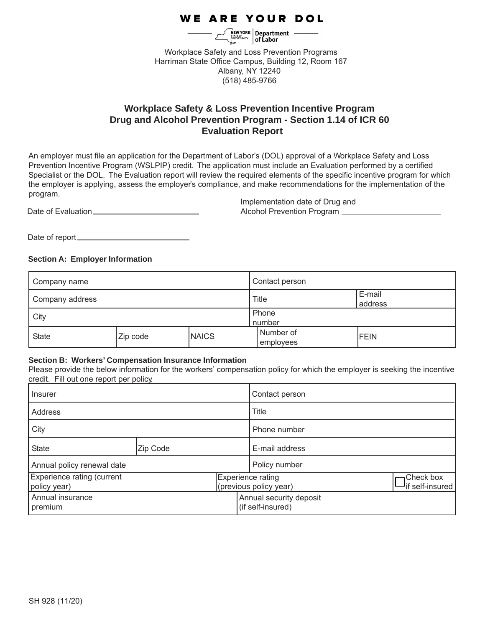# **WE ARE YOUR DOL**

 $\frac{1}{\text{NSEOS}}\left|\text{Department}\atop{\text{Oepartment}}\right|\longrightarrow\left|\text{of Labor} \atop{\text{of Labor} }\right|$ 

Workplace Safety and Loss Prevention Programs Harriman State Office Campus, Building 12, Room 167 Albany, NY 12240 (518) 485-9766

## **Evaluation Report Workplace Safety & Loss Prevention Incentive Program Drug and Alcohol Prevention Program - Section 1.14 of ICR 60**

An employer must file an application for the Department of Labor's (DOL) approval of a Workplace Safety and Loss Prevention Incentive Program (WSLPIP) credit. The application must include an Evaluation performed by a certified Specialist or the DOL. The Evaluation report will review the required elements of the specific incentive program for which the employer is applying, assess the employer's compliance, and make recommendations for the implementation of the program.

Date of Evaluation

Implementation date of Drug and Alcohol Prevention Program

Date of report

## **Section A: Employer Information**

| Company name    |          | Contact person  |                        |                   |
|-----------------|----------|-----------------|------------------------|-------------------|
| Company address |          |                 | Title                  | E-mail<br>address |
| City            |          | Phone<br>number |                        |                   |
| State           | Zip code | <b>NAICS</b>    | Number of<br>employees | <b>FEIN</b>       |

## **Section B: Workers' Compensation Insurance Information**

Please provide the below information for the workers' compensation policy for which the employer is seeking the incentive credit. Fill out one report per policy.

| Insurer                                           |          | Contact person |                                              |                                |
|---------------------------------------------------|----------|----------------|----------------------------------------------|--------------------------------|
| Address                                           |          | Title          |                                              |                                |
| City                                              |          | Phone number   |                                              |                                |
| <b>State</b>                                      | Zip Code |                | E-mail address                               |                                |
| Annual policy renewal date                        |          |                | Policy number                                |                                |
| <b>Experience rating (current</b><br>policy year) |          |                | Experience rating<br>(previous policy year)  | Check box<br>- if self-insured |
| Annual insurance<br>premium                       |          |                | Annual security deposit<br>(if self-insured) |                                |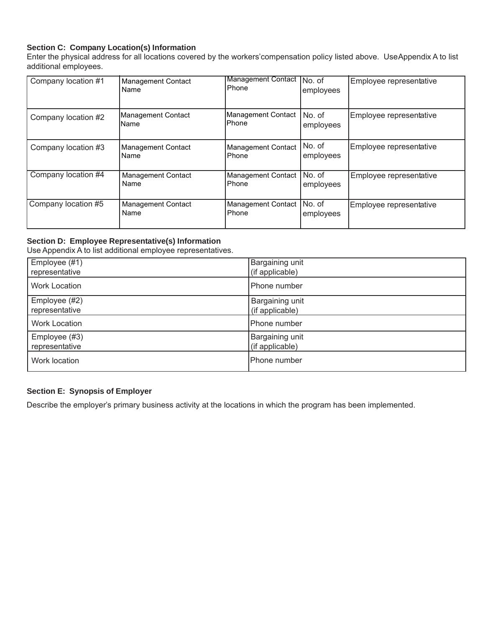## **Section C: Company Location(s) Information**

Enter the physical address for all locations covered by the workers' compensation policy listed above. Use Appendix A to list additional employees.

| Company location #1 | <b>Management Contact</b><br>Name | <b>Management Contact</b><br>Phone  | INo. of<br>employees | Employee representative |
|---------------------|-----------------------------------|-------------------------------------|----------------------|-------------------------|
| Company location #2 | Management Contact<br>IName       | Management Contact<br><b>IPhone</b> | No. of<br>employees  | Employee representative |
| Company location #3 | <b>Management Contact</b><br>Name | Management Contact<br>Phone         | No. of<br>employees  | Employee representative |
| Company location #4 | <b>Management Contact</b><br>Name | Management Contact<br>Phone         | No. of<br>employees  | Employee representative |
| Company location #5 | <b>Management Contact</b><br>Name | <b>Management Contact</b><br>Phone  | No. of<br>employees  | Employee representative |

## **Section D: Employee Representative(s) Information**

Use Appendix A to list additional employee representatives.

| Employee (#1)        | Bargaining unit |
|----------------------|-----------------|
| representative       | (if applicable) |
| <b>Work Location</b> | Phone number    |
| Employee (#2)        | Bargaining unit |
| representative       | (if applicable) |
| <b>Work Location</b> | lPhone number   |
| Employee (#3)        | Bargaining unit |
| representative       | (if applicable) |
| Work location        | lPhone number   |

## **Section E: Synopsis of Employer**

Describe the employer's primary business activity at the locations in which the program has been implemented.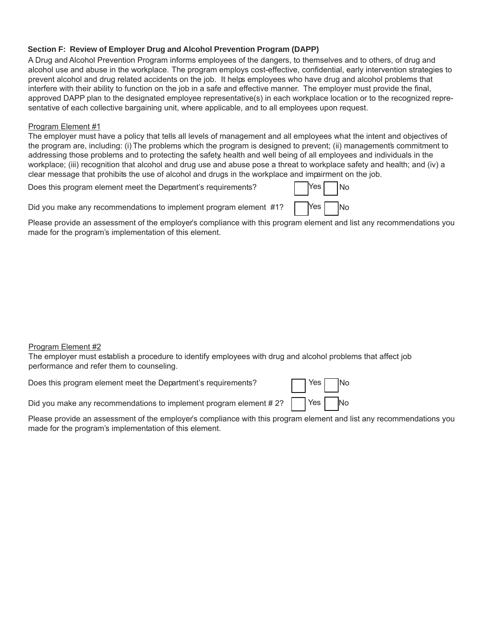## **Section F: Review of Employer Drug and Alcohol Prevention Program (DAPP)**

A Drug and Alcohol Prevention Program informs employees of the dangers, to themselves and to others, of drug and alcohol use and abuse in the workplace. The program employs cost-effective, confidential, early intervention strategies to prevent alcohol and drug related accidents on the job. It helps employees who have drug and alcohol problems that interfere with their ability to function on the job in a safe and effective manner. The employer must provide the final, approved DAPP plan to the designated employee representative(s) in each workplace location or to the recognized representative of each collective bargaining unit, where applicable, and to all employees upon request.

#### Program Element #1

The employer must have a policy that tells all levels of management and all employees what the intent and objectives of the program are, including: (i) The problems which the program is designed to prevent; (ii) managements commitment to addressing those problems and to protecting the safety, health and well being of all employees and individuals in the workplace; (iii) recognition that alcohol and drug use and abuse pose a threat to workplace safety and health; and (iv) a clear message that prohibits the use of alcohol and drugs in the workplace and impairment on the job.

Does this program element meet the Department's requirements?  $|$  [Yes | No

Did you make any recommendations to implement program element  $\#1$ ?  $\qquad$  Yes  $\qquad$  No

Please provide an assessment of the employer's compliance with this program element and list any recommendations you made for the program's implementation of this element.

## Program Element #2

The employer must establish a procedure to identify employees with drug and alcohol problems that affect job performance and refer them to counseling.

Does this program element meet the Department's requirements?

| Yes | <b>No</b>  |
|-----|------------|
| Yes | <b>N</b> o |

Did you make any recommendations to implement program element #2?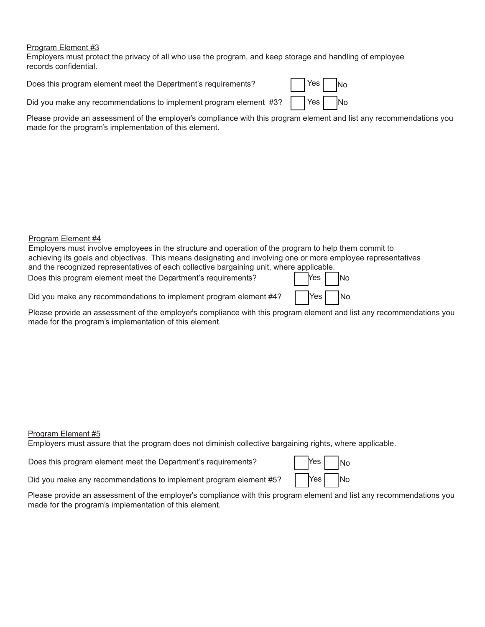Employers must protect the privacy of all who use the program, and keep storage and handling of employee records confidential.

Does this program element meet the Department's requirements?

| Yes I | N٥ |
|-------|----|
| Yes   | N٥ |

Did you make any recommendations to implement program element #3?

Please provide an assessment of the employer's compliance with this program element and list any recommendations you made for the program's implementation of this element.

#### Program Element #4

| Employers must involve employees in the structure and operation of the program to help them commit to         |  |     |  |                |
|---------------------------------------------------------------------------------------------------------------|--|-----|--|----------------|
| achieving its goals and objectives. This means designating and involving one or more employee representatives |  |     |  |                |
| and the recognized representatives of each collective bargaining unit, where applicable.                      |  |     |  |                |
| Does this program element meet the Department's requirements?                                                 |  | Yes |  | N <sub>o</sub> |

Did you make any recommendations to implement program element  $\#4$ ?  $\left| \right|$  Yes  $\left| \right|$  No

Please provide an assessment of the employer's compliance with this program element and list any recommendations you made for the program's implementation of this element.

#### Program Element #5

Employers must assure that the program does not diminish collective bargaining rights, where applicable.

Does this program element meet the Department's requirements?

| <b>Yes</b> | No         |
|------------|------------|
| Yes        | <b>INo</b> |

Did you make any recommendations to implement program element #5?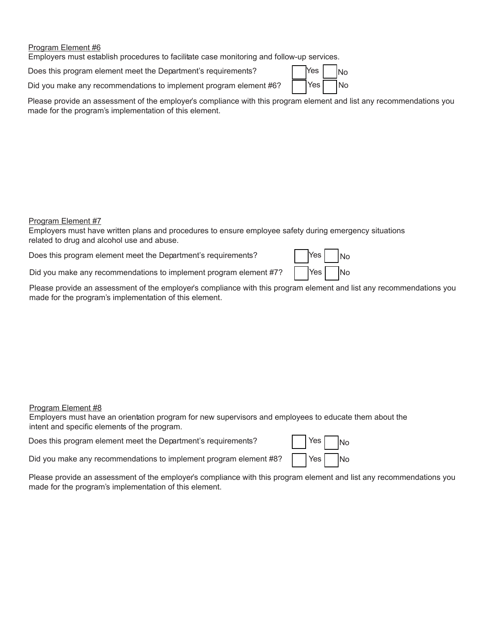Employers must establish procedures to facilitate case monitoring and follow-up services.

Does this program element meet the Department's requirements?  $|$  [Yes  $|$  |  $|$ No

Did you make any recommendations to implement program element #6?  $\begin{bmatrix} \n\end{bmatrix}$  Yes  $\begin{bmatrix} \n\end{bmatrix}$  No

Please provide an assessment of the employer's compliance with this program element and list any recommendations you made for the program's implementation of this element.

#### Program Element #7

Employers must have written plans and procedures to ensure employee safety during emergency situations related to drug and alcohol use and abuse.

Does this program element meet the Department's requirements? [ [Yes

Did you make any recommendations to implement program element #7?  $\begin{vmatrix} \n\end{vmatrix}$  Yes  $\begin{vmatrix} \n\end{vmatrix}$  No



## Program Element #8

Employers must have an orientation program for new supervisors and employees to educate them about the intent and specific elements of the program.

Does this program element meet the Department's requirements?

Did you make any recommendations to implement program element #8?

| Yes | No |
|-----|----|
| Yes | No |

No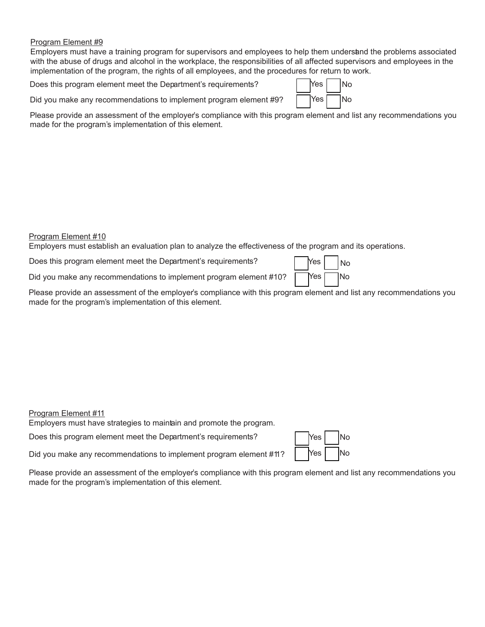Employers must have a training program for supervisors and employees to help them understand the problems associated with the abuse of drugs and alcohol in the workplace, the responsibilities of all affected supervisors and employees in the implementation of the program, the rights of all employees, and the procedures for return to work.

Does this program element meet the Department's requirements?  $|$  [Yes | No

No

Did you make any recommendations to implement program element #9?  $\Box$  Yes  $\Box$  No

Please provide an assessment of the employer's compliance with this program element and list any recommendations you made for the program's implementation of this element.

#### Program Element #10

Employers must establish an evaluation plan to analyze the effectiveness of the program and its operations.

Does this program element meet the Department's requirements? | Yes

Did you make any recommendations to implement program element  $\#10$ ?

Please provide an assessment of the employer's compliance with this program element and list any recommendations you made for the program's implementation of this element.

Program Element #11

Employers must have strategies to maintain and promote the program.

Does this program element meet the Department's requirements?  $\vert$  Nes

Did you make any recommendations to implement program element  $\#\ni$ ?  $\begin{bmatrix} \n\end{bmatrix}$   $\begin{bmatrix} \n\end{bmatrix}$   $\begin{bmatrix} \n\end{bmatrix}$   $\begin{bmatrix} \n\end{bmatrix}$   $\begin{bmatrix} \n\end{bmatrix}$   $\begin{bmatrix} \n\end{bmatrix}$   $\begin{bmatrix} \n\end{bmatrix}$   $\begin{bmatrix} \n\end{bmatrix}$   $\begin{bmatrix} \n\end{bmatrix}$ 

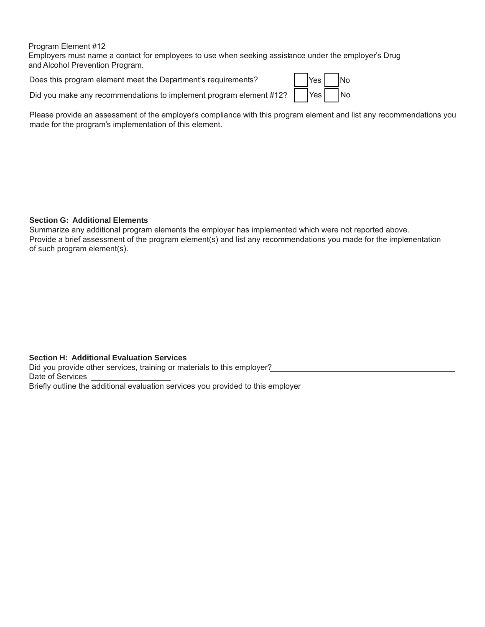Employers must name a contact for employees to use when seeking assistance under the employer's Drug and Alcohol Prevention Program.

Does this program element meet the Department's requirements?

Did you make any recommendations to implement program element #12?

| <b>Yes</b> | No |
|------------|----|
| Yes        | No |

Please provide an assessment of the employer's compliance with this program element and list any recommendations you made for the program's implementation of this element.

## **Section G: Additional Elements**

Summarize any additional program elements the employer has implemented which were not reported above. Provide a brief assessment of the program element(s) and list any recommendations you made for the implementation of such program element(s).

## **Section H: Additional Evaluation Services**

Did you provide other services, training or materials to this employer? Date of Services

Briefly outline the additional evaluation services you provided to this employer.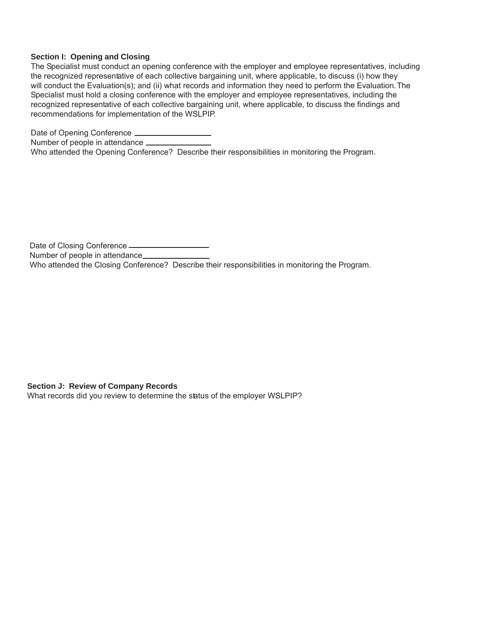#### **Section I: Opening and Closing**

The Specialist must conduct an opening conference with the employer and employee representatives, including the recognized representative of each collective bargaining unit, where applicable, to discuss (i) how they will conduct the Evaluation(s); and (ii) what records and information they need to perform the Evaluation. The Specialist must hold a closing conference with the employer and employee representatives, including the recognized representative of each collective bargaining unit, where applicable, to discuss the findings and recommendations for implementation of the WSLPIP.

Date of Opening Conference Number of people in attendance \_\_\_\_\_\_\_\_\_\_\_\_\_\_\_ Who attended the Opening Conference? Describe their responsibilities in monitoring the Program.

Date of Closing Conference Number of people in attendance Who attended the Closing Conference? Describe their responsibilities in monitoring the Program.

**Section J: Review of Company Records**

What records did you review to determine the status of the employer WSLPIP?